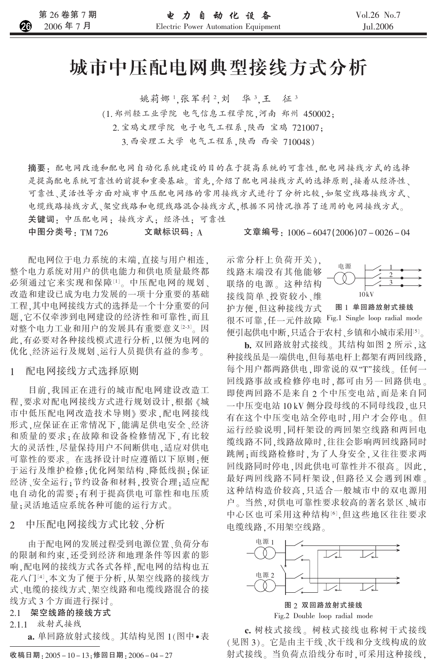# 城市中压配电网典型接线方式分析

姚莉娜1.张军利2.刘 华3.王 征3 (1. 郑州轻工业学院 电气信息工程学院,河南 郑州 450002: 2. 宝鸡文理学院 电子电气工程系, 陕西 宝鸡 721007: 3. 西安理工大学 电气工程系, 陕西 西安 710048)

摘要: 配电网改造和配电网自动化系统建设的目的在于提高系统的可靠性,配电网接线方式的选择 是提高配电系统可靠性的前提和重要基础。首先,介绍了配电网接线方式的选择原则,接着从经济性、 可靠性、灵活性等方面对城市中压配电网络的常用接线方式进行了分析比较,如架空线路接线方式、 电缆线路接线方式、架空线路和电缆线路混合接线方式,根据不同情况推荐了适用的电网接线方式。

关键词: 中压配电网; 接线方式; 经济性; 可靠性

中图分类号: TM 726 文献标识码: A

配电网位于电力系统的末端,直接与用户相连, 整个电力系统对用户的供电能力和供电质量最终都 必须通过它来实现和保障[1]。中压配电网的规划、 改造和建设已成为电力发展的一项十分重要的基础 工程,其中电网接线方式的选择是一个十分重要的问 题,它不仅牵涉到电网建设的经济性和可靠性,而且 对整个电力工业和用户的发展具有重要意义[2-3]。因 此,有必要对各种接线模式进行分析,以便为电网的 优化、经济运行及规划、运行人员提供有益的参考。

配电网接线方式选择原则  $\mathbf{1}$ 

目前,我国正在进行的城市配电网建设改造工 程,要求对配电网接线方式进行规划设计,根据《城 市中低压配电网改造技术导则》要求,配电网接线 形式,应保证在正常情况下,能满足供电安全、经济 和质量的要求:在故障和设备检修情况下,有比较 大的灵活性,尽量保持用户不间断供电,适应对供电 可靠性的要求。在选择设计时应遵循以下原则:便 于运行及维护检修;优化网架结构、降低线损;保证 经济、安全运行;节约设备和材料,投资合理;适应配 电自动化的需要:有利于提高供电可靠性和电压质 量:灵活地适应系统各种可能的运行方式。

2 中压配电网接线方式比较、分析

由于配电网的发展过程受到电源位置、负荷分布 的限制和约束,还受到经济和地理条件等因素的影 响,配电网的接线方式各式各样,配电网的结构也五 花八门[4],本文为了便于分析,从架空线路的接线方 式、电缆的接线方式、架空线路和电缆线路混合的接 线方式 3 个方面进行探讨。

2.1 架空线路的接线方式

2.1.1 放射式接线

a. 单回路放射式接线。其结构见图 1(图中·表

文章编号: 1006-6047(2006)07-0026-04

示常分杆上负荷开关), 线路末端没有其他能够 联络的电源。这种结构 接线简单、投资较小、维 护方便 但这种接线方式



图 1 单回路放射式接线

很不可靠,任一元件故障 Fig.1 Single loop radial mode 便引起供电中断,只适合于农村、乡镇和小城市采用[5]。 b. 双回路放射式接线。其结构如图 2 所示,这 种接线虽是一端供电,但每基电杆上都架有两回线路,

每个用户都两路供电,即常说的双"T"接线。任何一 回线路事故或检修停电时,都可由另一回路供电。 即使两回路不是来自2个中压变电站,而是来自同 一中压变电站 10 kV 侧分段母线的不同母线段, 也只 有在这个中压变电站全停电时,用户才会停电。但 运行经验说明,同杆架设的两回架空线路和两回电 缆线路不同,线路故障时,往往会影响两回线路同时 跳闸;而线路检修时,为了人身安全,又往往要求两 回线路同时停电,因此供电可靠性并不很高。因此, 最好两回线路不同杆架设,但路径又会遇到困难。 这种结构造价较高,只适合一般城市中的双电源用 户。当然,对供电可靠性要求较高的著名景区、城市 中心区也可采用这种结构[6],但这些地区往往要求 电缆线路,不用架空线路。



图 2 双回路放射式接线

Fig.2 Double loop radial mode

c. 树枝式接线。树枝式接线也称树干式接线 (见图3)。它是由主干线、次干线和分支线构成的放 射式接线。当负荷点沿线分布时,可采用这种接线,

收稿日期: 2005-10-13: 修回日期: 2006-04-27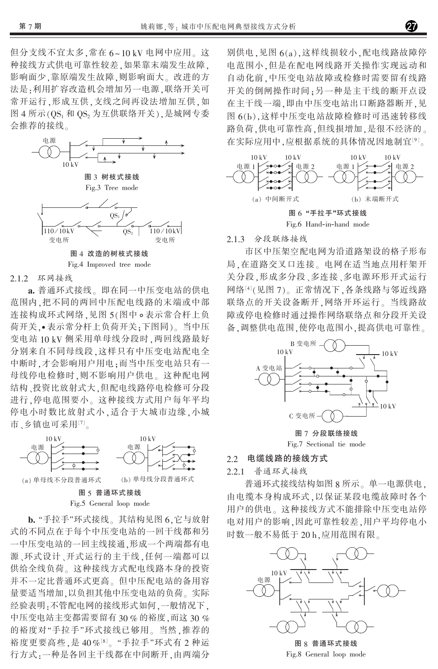但分支线不宜太多,常在 6~10 kV 电网中应用。这 种接线方式供电可靠性较差,如果靠末端发生故障, 影响面少,靠原端发生故障,则影响面大。改进的方 法是:利用扩容改造机会增加另一电源,联络开关可 常开运行,形成互供,支线之间再设法增加互供,如 图 4 所示(QS<sub>1</sub> 和 QS<sub>2</sub> 为互供联络开关), 是城网专委 会推荐的接线。



# 2.1.2 环网接线

a. 普通环式接线。即在同一中压变电站的供电 范围内,把不同的两回中压配电线路的末端或中部 连接构成环式网络,见图 5(图中。表示常合杆上负 荷开关,•表示常分杆上负荷开关:下图同)。当中压 变电站 10 kV 侧采用单母线分段时, 两回线路最好 分别来自不同母线段,这样只有中压变电站配电全 中断时,才会影响用户用电;而当中压变电站只有一 母线停电检修时,则不影响用户供电。这种配电网 结构、投资比放射式大,但配电线路停电检修可分段 进行,停电范围要小。这种接线方式用户每年平均 停电小时数比放射式小,适合于大城市边缘,小城 市、乡镇也可采用[7]。



## Fig.5 General loop mode

b. "手拉手"环式接线。其结构见图 6.它与放射 式的不同点在于每个中压变电站的一回干线都和另 一中压变电站的一回主线接通,形成一个两端都有电 源、环式设计、开式运行的主干线,任何一端都可以 供给全线负荷。这种接线方式配电线路本身的投资 并不一定比普通环式更高。但中压配电站的备用容 量要适当增加,以负担其他中压变电站的负荷。实际 经验表明:不管配电网的接线形式如何,一般情况下, 中压变电站主变都需要留有30%的裕度,而这30% 的裕度对"手拉手"环式接线已够用。当然,推荐的 裕度更要高些,是40%[8]。"手拉手"环式有2种运 行方式:一种是各回主干线都在中间断开,由两端分

别供电,见图 6(a),这样线损较小,配电线路故障停 电范围小,但是在配电网线路开关操作实现远动和 自动化前,中压变电站故障或检修时需要留有线路 开关的倒闸操作时间:另一种是主干线的断开点设 在主干线一端,即由中压变电站出口断路器断开,见 图 6(b),这样中压变电站故障检修时可迅速转移线 路负荷,供电可靠性高,但线损增加,是很不经济的。 在实际应用中,应根据系统的具体情况因地制宜[9]。



# 2.1.3 分段联络接线

市区中压架空配电网为沿道路架设的格子形布 局,在道路交叉口连接。电网在适当地点用杆架开 关分段,形成多分段、多连接、多电源环形开式运行 网络[4](见图7)。正常情况下,各条线路与邻近线路 联络点的开关设备断开,网络开环运行。当线路故 障或停电检修时通过操作网络联络点和分段开关设 备.调整供电范围,使停电范围小,提高供电可靠性。



图 7 分段联络接线 Fig.7 Sectional tie mode

#### 电缆线路的接线方式  $2.2$

2.2.1 普通环式接线

普通环式接线结构如图 8 所示。单一电源供电, 由电缆本身构成环式,以保证某段电缆故障时各个 用户的供电。这种接线方式不能排除中压变电站停 电对用户的影响,因此可靠性较差,用户平均停电小 时数一般不易低于 20 h,应用范围有限。



图 8 普通环式接线 Fig.8 General loop mode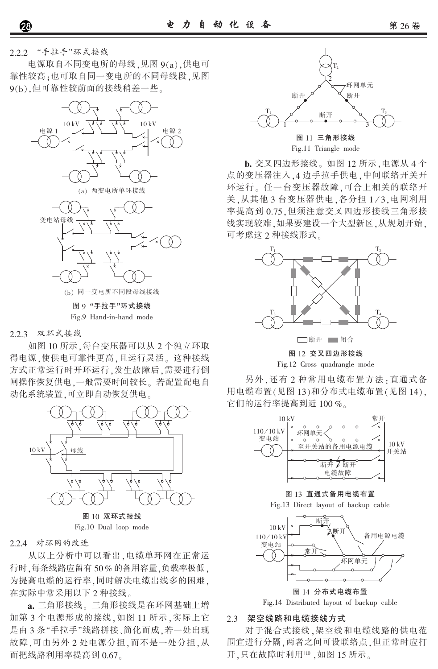2.2.2 "手拉手"环式接线

电源取自不同变电所的母线,见图 9(a),供电可 靠性较高;也可取自同一变电所的不同母线段,见图 9(b),但可靠性较前面的接线稍差一些。



图 9 "手拉手"环式接线 Fig.9 Hand-in-hand mode

2.2.3 双环式接线

如图 10 所示,每台变压器可以从 2 个独立环取 得电源,使供电可靠性更高,且运行灵活。这种接线 方式正常运行时开环运行,发生故障后,需要进行倒 闸操作恢复供电,一般需要时间较长。若配置配电自 动化系统装置,可立即自动恢复供电。



Fig.10 Dual loop mode

2.2.4 对环网的改进

从以上分析中可以看出,电缆单环网在正常运 行时,每条线路应留有50%的备用容量,负载率极低。 为提高电缆的运行率,同时解决电缆出线多的困难, 在实际中常采用以下 2 种接线。

a. 三角形接线。三角形接线是在环网基础上增 加第3个电源形成的接线,如图 11 所示,实际上它 是由3条"手拉手"线路拼接、简化而成,若一处出现 故障,可由另外2处电源分担,而不是一处分担,从 而把线路利用率提高到 0.67。



b. 交叉四边形接线。如图 12 所示, 电源从 4 个 点的变压器注入,4边手拉手供电,中间联络开关开 环运行。任一台变压器故障,可合上相关的联络开 关,从其他3台变压器供电,各分担1/3,电网利用 率提高到 0.75,但须注意交叉四边形接线三角形接 线实现较难,如果要建设一个大型新区,从规划开始, 可考虑这 2 种接线形式。



另外,还有2种常用电缆布置方法:直通式备 用电缆布置(见图13)和分布式电缆布置(见图14),

它们的运行率提高到近100%。  $10 kV$  $110/10$  kV 环网单元 变电站  $10 kV$ 至开关站的备用电源电缆 开关站 断开了断开 电缆故障

图 13 直通式备用电缆布置

Fig.13 Direct layout of backup cable



图 14 分布式电缆布置

Fig.14 Distributed layout of backup cable

# 2.3 架空线路和电缆接线方式

对于混合式接线,架空线和电缆线路的供电范 围宜进行分隔,两者之间可设联络点,但正常时应打 开,只在故障时利用[10],如图 15 所示。